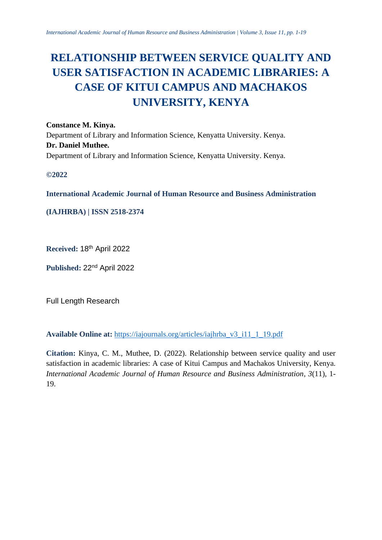# **RELATIONSHIP BETWEEN SERVICE QUALITY AND USER SATISFACTION IN ACADEMIC LIBRARIES: A CASE OF KITUI CAMPUS AND MACHAKOS UNIVERSITY, KENYA**

**Constance M. Kinya.** Department of Library and Information Science, Kenyatta University. Kenya. **Dr. Daniel Muthee.** Department of Library and Information Science, Kenyatta University. Kenya.

**©2022**

**International Academic Journal of Human Resource and Business Administration**

**(IAJHRBA) | ISSN 2518-2374**

**Received:** 18th April 2022

**Published:** 22nd April 2022

Full Length Research

**Available Online at:** [https://iajournals.org/articles/iajhrba\\_v3\\_i11\\_1\\_19.pdf](https://iajournals.org/articles/iajhrba_v3_i11_1_19.pdf)

**Citation:** Kinya, C. M., Muthee, D. (2022). Relationship between service quality and user satisfaction in academic libraries: A case of Kitui Campus and Machakos University, Kenya. *International Academic Journal of Human Resource and Business Administration, 3*(11), 1- 19.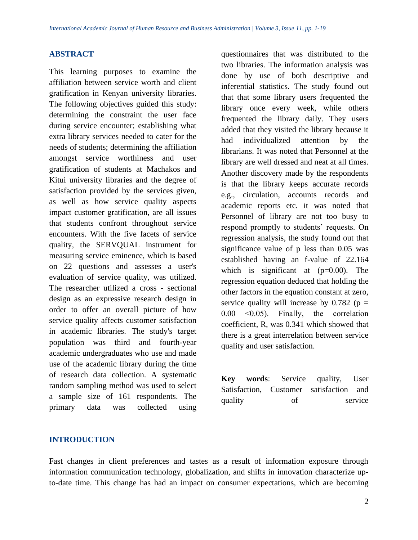## **ABSTRACT**

This learning purposes to examine the affiliation between service worth and client gratification in Kenyan university libraries. The following objectives guided this study: determining the constraint the user face during service encounter; establishing what extra library services needed to cater for the needs of students; determining the affiliation amongst service worthiness and user gratification of students at Machakos and Kitui university libraries and the degree of satisfaction provided by the services given, as well as how service quality aspects impact customer gratification, are all issues that students confront throughout service encounters. With the five facets of service quality, the SERVQUAL instrument for measuring service eminence, which is based on 22 questions and assesses a user's evaluation of service quality, was utilized. The researcher utilized a cross - sectional design as an expressive research design in order to offer an overall picture of how service quality affects customer satisfaction in academic libraries. The study's target population was third and fourth-year academic undergraduates who use and made use of the academic library during the time of research data collection. A systematic random sampling method was used to select a sample size of 161 respondents. The primary data was collected using

questionnaires that was distributed to the two libraries. The information analysis was done by use of both descriptive and inferential statistics. The study found out that that some library users frequented the library once every week, while others frequented the library daily. They users added that they visited the library because it had individualized attention by the librarians. It was noted that Personnel at the library are well dressed and neat at all times. Another discovery made by the respondents is that the library keeps accurate records e.g., circulation, accounts records and academic reports etc. it was noted that Personnel of library are not too busy to respond promptly to students' requests. On regression analysis, the study found out that significance value of p less than 0.05 was established having an f-value of 22.164 which is significant at  $(p=0.00)$ . The regression equation deduced that holding the other factors in the equation constant at zero, service quality will increase by  $0.782$  (p = 0.00 ˂0.05). Finally, the correlation coefficient, R, was 0.341 which showed that there is a great interrelation between service quality and user satisfaction.

**Key words**: Service quality, User Satisfaction, Customer satisfaction and quality of service

## **INTRODUCTION**

Fast changes in client preferences and tastes as a result of information exposure through information communication technology, globalization, and shifts in innovation characterize upto-date time. This change has had an impact on consumer expectations, which are becoming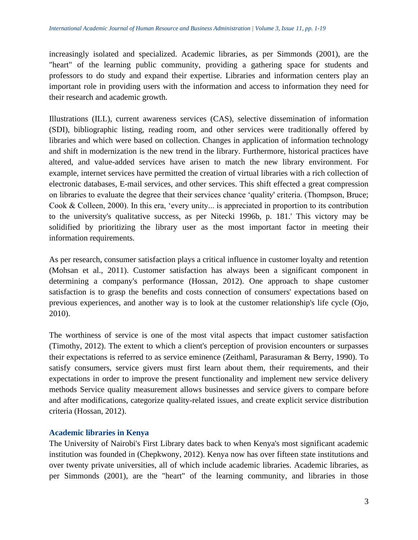increasingly isolated and specialized. Academic libraries, as per Simmonds (2001), are the "heart" of the learning public community, providing a gathering space for students and professors to do study and expand their expertise. Libraries and information centers play an important role in providing users with the information and access to information they need for their research and academic growth.

Illustrations (ILL), current awareness services (CAS), selective dissemination of information (SDI), bibliographic listing, reading room, and other services were traditionally offered by libraries and which were based on collection. Changes in application of information technology and shift in modernization is the new trend in the library. Furthermore, historical practices have altered, and value-added services have arisen to match the new library environment. For example, internet services have permitted the creation of virtual libraries with a rich collection of electronic databases, E-mail services, and other services. This shift effected a great compression on libraries to evaluate the degree that their services chance 'quality' criteria. (Thompson, Bruce; Cook & Colleen, 2000). In this era, 'every unity... is appreciated in proportion to its contribution to the university's qualitative success, as per Nitecki 1996b, p. 181.' This victory may be solidified by prioritizing the library user as the most important factor in meeting their information requirements.

As per research, consumer satisfaction plays a critical influence in customer loyalty and retention (Mohsan et al., 2011). Customer satisfaction has always been a significant component in determining a company's performance (Hossan, 2012). One approach to shape customer satisfaction is to grasp the benefits and costs connection of consumers' expectations based on previous experiences, and another way is to look at the customer relationship's life cycle (Ojo, 2010).

The worthiness of service is one of the most vital aspects that impact customer satisfaction (Timothy, 2012). The extent to which a client's perception of provision encounters or surpasses their expectations is referred to as service eminence (Zeithaml, Parasuraman & Berry, 1990). To satisfy consumers, service givers must first learn about them, their requirements, and their expectations in order to improve the present functionality and implement new service delivery methods Service quality measurement allows businesses and service givers to compare before and after modifications, categorize quality-related issues, and create explicit service distribution criteria (Hossan, 2012).

## **Academic libraries in Kenya**

The University of Nairobi's First Library dates back to when Kenya's most significant academic institution was founded in (Chepkwony, 2012). Kenya now has over fifteen state institutions and over twenty private universities, all of which include academic libraries. Academic libraries, as per Simmonds (2001), are the "heart" of the learning community, and libraries in those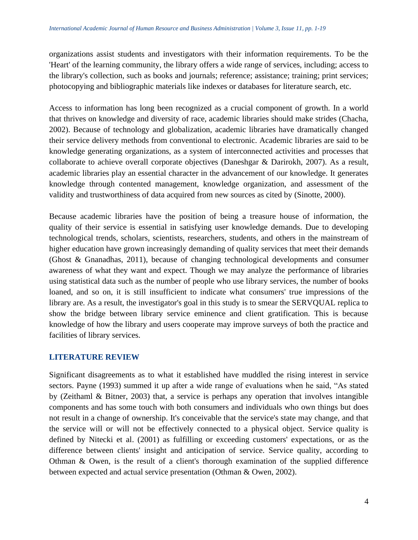organizations assist students and investigators with their information requirements. To be the 'Heart' of the learning community, the library offers a wide range of services, including; access to the library's collection, such as books and journals; reference; assistance; training; print services; photocopying and bibliographic materials like indexes or databases for literature search, etc.

Access to information has long been recognized as a crucial component of growth. In a world that thrives on knowledge and diversity of race, academic libraries should make strides (Chacha, 2002). Because of technology and globalization, academic libraries have dramatically changed their service delivery methods from conventional to electronic. Academic libraries are said to be knowledge generating organizations, as a system of interconnected activities and processes that collaborate to achieve overall corporate objectives (Daneshgar & Darirokh, 2007). As a result, academic libraries play an essential character in the advancement of our knowledge. It generates knowledge through contented management, knowledge organization, and assessment of the validity and trustworthiness of data acquired from new sources as cited by (Sinotte, 2000).

Because academic libraries have the position of being a treasure house of information, the quality of their service is essential in satisfying user knowledge demands. Due to developing technological trends, scholars, scientists, researchers, students, and others in the mainstream of higher education have grown increasingly demanding of quality services that meet their demands (Ghost & Gnanadhas, 2011), because of changing technological developments and consumer awareness of what they want and expect. Though we may analyze the performance of libraries using statistical data such as the number of people who use library services, the number of books loaned, and so on, it is still insufficient to indicate what consumers' true impressions of the library are. As a result, the investigator's goal in this study is to smear the SERVQUAL replica to show the bridge between library service eminence and client gratification. This is because knowledge of how the library and users cooperate may improve surveys of both the practice and facilities of library services.

## **LITERATURE REVIEW**

Significant disagreements as to what it established have muddled the rising interest in service sectors. Payne (1993) summed it up after a wide range of evaluations when he said, "As stated by (Zeithaml & Bitner, 2003) that, a service is perhaps any operation that involves intangible components and has some touch with both consumers and individuals who own things but does not result in a change of ownership. It's conceivable that the service's state may change, and that the service will or will not be effectively connected to a physical object. Service quality is defined by Nitecki et al. (2001) as fulfilling or exceeding customers' expectations, or as the difference between clients' insight and anticipation of service. Service quality, according to Othman & Owen, is the result of a client's thorough examination of the supplied difference between expected and actual service presentation (Othman & Owen, 2002).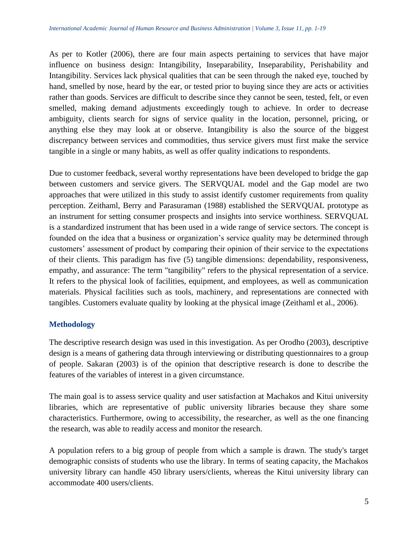As per to Kotler (2006), there are four main aspects pertaining to services that have major influence on business design: Intangibility, Inseparability, Inseparability, Perishability and Intangibility. Services lack physical qualities that can be seen through the naked eye, touched by hand, smelled by nose, heard by the ear, or tested prior to buying since they are acts or activities rather than goods. Services are difficult to describe since they cannot be seen, tested, felt, or even smelled, making demand adjustments exceedingly tough to achieve. In order to decrease ambiguity, clients search for signs of service quality in the location, personnel, pricing, or anything else they may look at or observe. Intangibility is also the source of the biggest discrepancy between services and commodities, thus service givers must first make the service tangible in a single or many habits, as well as offer quality indications to respondents.

Due to customer feedback, several worthy representations have been developed to bridge the gap between customers and service givers. The SERVQUAL model and the Gap model are two approaches that were utilized in this study to assist identify customer requirements from quality perception. Zeithaml, Berry and Parasuraman (1988) established the SERVQUAL prototype as an instrument for setting consumer prospects and insights into service worthiness. SERVQUAL is a standardized instrument that has been used in a wide range of service sectors. The concept is founded on the idea that a business or organization's service quality may be determined through customers' assessment of product by comparing their opinion of their service to the expectations of their clients. This paradigm has five (5) tangible dimensions: dependability, responsiveness, empathy, and assurance: The term "tangibility" refers to the physical representation of a service. It refers to the physical look of facilities, equipment, and employees, as well as communication materials. Physical facilities such as tools, machinery, and representations are connected with tangibles. Customers evaluate quality by looking at the physical image (Zeithaml et al., 2006).

## **Methodology**

The descriptive research design was used in this investigation. As per Orodho (2003), descriptive design is a means of gathering data through interviewing or distributing questionnaires to a group of people. Sakaran (2003) is of the opinion that descriptive research is done to describe the features of the variables of interest in a given circumstance.

The main goal is to assess service quality and user satisfaction at Machakos and Kitui university libraries, which are representative of public university libraries because they share some characteristics. Furthermore, owing to accessibility, the researcher, as well as the one financing the research, was able to readily access and monitor the research.

A population refers to a big group of people from which a sample is drawn. The study's target demographic consists of students who use the library. In terms of seating capacity, the Machakos university library can handle 450 library users/clients, whereas the Kitui university library can accommodate 400 users/clients.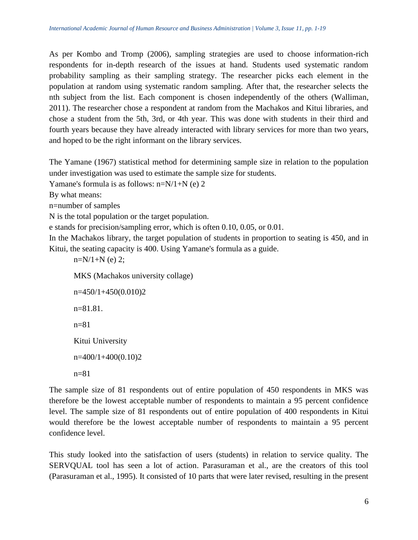As per Kombo and Tromp (2006), sampling strategies are used to choose information-rich respondents for in-depth research of the issues at hand. Students used systematic random probability sampling as their sampling strategy. The researcher picks each element in the population at random using systematic random sampling. After that, the researcher selects the nth subject from the list. Each component is chosen independently of the others (Walliman, 2011). The researcher chose a respondent at random from the Machakos and Kitui libraries, and chose a student from the 5th, 3rd, or 4th year. This was done with students in their third and fourth years because they have already interacted with library services for more than two years, and hoped to be the right informant on the library services.

The Yamane (1967) statistical method for determining sample size in relation to the population under investigation was used to estimate the sample size for students.

Yamane's formula is as follows: n=N/1+N (e) 2

By what means:

n=number of samples

N is the total population or the target population.

e stands for precision/sampling error, which is often 0.10, 0.05, or 0.01.

In the Machakos library, the target population of students in proportion to seating is 450, and in Kitui, the seating capacity is 400. Using Yamane's formula as a guide.

 $n=N/1+N$  (e) 2;

MKS (Machakos university collage)

```
n=450/1+450(0.010)2
n=81.81.
n=81Kitui University
n=400/1+400(0.10)2
n=81
```
The sample size of 81 respondents out of entire population of 450 respondents in MKS was therefore be the lowest acceptable number of respondents to maintain a 95 percent confidence level. The sample size of 81 respondents out of entire population of 400 respondents in Kitui would therefore be the lowest acceptable number of respondents to maintain a 95 percent confidence level.

This study looked into the satisfaction of users (students) in relation to service quality. The SERVQUAL tool has seen a lot of action. Parasuraman et al., are the creators of this tool (Parasuraman et al., 1995). It consisted of 10 parts that were later revised, resulting in the present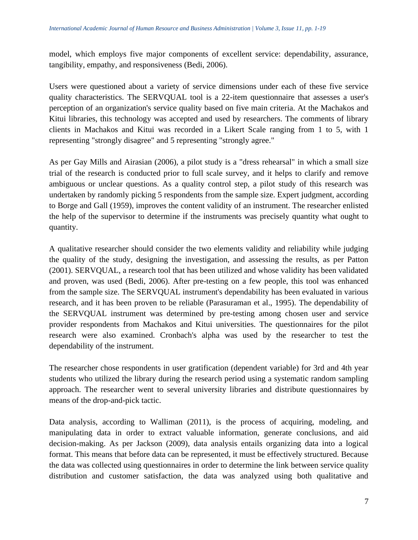model, which employs five major components of excellent service: dependability, assurance, tangibility, empathy, and responsiveness (Bedi, 2006).

Users were questioned about a variety of service dimensions under each of these five service quality characteristics. The SERVQUAL tool is a 22-item questionnaire that assesses a user's perception of an organization's service quality based on five main criteria. At the Machakos and Kitui libraries, this technology was accepted and used by researchers. The comments of library clients in Machakos and Kitui was recorded in a Likert Scale ranging from 1 to 5, with 1 representing "strongly disagree" and 5 representing "strongly agree."

As per Gay Mills and Airasian (2006), a pilot study is a "dress rehearsal" in which a small size trial of the research is conducted prior to full scale survey, and it helps to clarify and remove ambiguous or unclear questions. As a quality control step, a pilot study of this research was undertaken by randomly picking 5 respondents from the sample size. Expert judgment, according to Borge and Gall (1959), improves the content validity of an instrument. The researcher enlisted the help of the supervisor to determine if the instruments was precisely quantity what ought to quantity.

A qualitative researcher should consider the two elements validity and reliability while judging the quality of the study, designing the investigation, and assessing the results, as per Patton (2001). SERVQUAL, a research tool that has been utilized and whose validity has been validated and proven, was used (Bedi, 2006). After pre-testing on a few people, this tool was enhanced from the sample size. The SERVQUAL instrument's dependability has been evaluated in various research, and it has been proven to be reliable (Parasuraman et al., 1995). The dependability of the SERVQUAL instrument was determined by pre-testing among chosen user and service provider respondents from Machakos and Kitui universities. The questionnaires for the pilot research were also examined. Cronbach's alpha was used by the researcher to test the dependability of the instrument.

The researcher chose respondents in user gratification (dependent variable) for 3rd and 4th year students who utilized the library during the research period using a systematic random sampling approach. The researcher went to several university libraries and distribute questionnaires by means of the drop-and-pick tactic.

Data analysis, according to Walliman (2011), is the process of acquiring, modeling, and manipulating data in order to extract valuable information, generate conclusions, and aid decision-making. As per Jackson (2009), data analysis entails organizing data into a logical format. This means that before data can be represented, it must be effectively structured. Because the data was collected using questionnaires in order to determine the link between service quality distribution and customer satisfaction, the data was analyzed using both qualitative and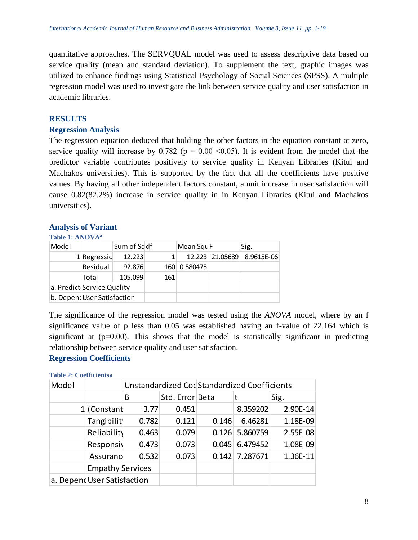quantitative approaches. The SERVQUAL model was used to assess descriptive data based on service quality (mean and standard deviation). To supplement the text, graphic images was utilized to enhance findings using Statistical Psychology of Social Sciences (SPSS). A multiple regression model was used to investigate the link between service quality and user satisfaction in academic libraries.

## **RESULTS**

## **Regression Analysis**

The regression equation deduced that holding the other factors in the equation constant at zero, service quality will increase by 0.782 ( $p = 0.00 \le 0.05$ ). It is evident from the model that the predictor variable contributes positively to service quality in Kenyan Libraries (Kitui and Machakos universities). This is supported by the fact that all the coefficients have positive values. By having all other independent factors constant, a unit increase in user satisfaction will cause 0.82(82.2%) increase in service quality in in Kenyan Libraries (Kitui and Machakos universities).

## **Analysis of Variant**

## **Table 1: ANOVA<sup>a</sup>**

| Model |                             | Sum of Sq df |     | Mean Squ F   |                 | Sig.       |
|-------|-----------------------------|--------------|-----|--------------|-----------------|------------|
|       | $1$ Regressio               | 12.223       |     |              | 12.223 21.05689 | 8.9615E-06 |
|       | Residual                    | 92.876       |     | 160 0.580475 |                 |            |
|       | Total                       | 105.099      | 161 |              |                 |            |
|       | a. Predict Service Quality  |              |     |              |                 |            |
|       | b. Depend User Satisfaction |              |     |              |                 |            |

The significance of the regression model was tested using the *ANOVA* model, where by an f significance value of p less than 0.05 was established having an f-value of 22.164 which is significant at  $(p=0.00)$ . This shows that the model is statistically significant in predicting relationship between service quality and user satisfaction.

## **Regression Coefficients**

#### **Table 2: Coefficientsa**

| Model |                             | Unstandardized CoeStandardized Coefficients |       |       |                  |            |  |
|-------|-----------------------------|---------------------------------------------|-------|-------|------------------|------------|--|
|       |                             | B                                           | Sig.  |       |                  |            |  |
|       | $1$ (Constant               | 3.77                                        | 0.451 |       | 8.359202         | 2.90E-14   |  |
|       | Tangibilit                  | 0.782                                       | 0.121 | 0.146 | 6.46281          | 1.18E-09   |  |
|       | Reliability                 | 0.463                                       | 0.079 |       | 0.126 5.860759   | 2.55E-08   |  |
|       | Responsiv                   | 0.473                                       | 0.073 | 0.045 | 6.479452         | 1.08E-09   |  |
|       | Assuranc                    | 0.532                                       | 0.073 |       | $0.142$ 7.287671 | $1.36E-11$ |  |
|       | <b>Empathy Services</b>     |                                             |       |       |                  |            |  |
|       | a. Depend User Satisfaction |                                             |       |       |                  |            |  |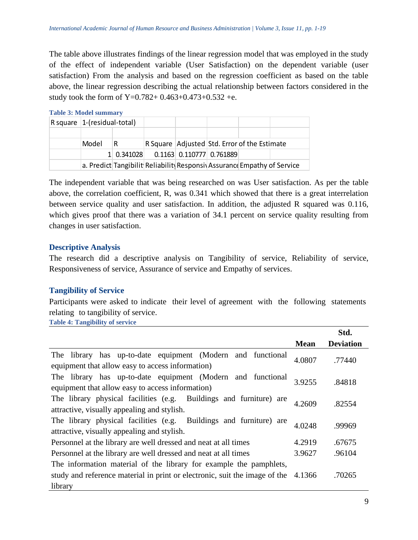The table above illustrates findings of the linear regression model that was employed in the study of the effect of independent variable (User Satisfaction) on the dependent variable (user satisfaction) From the analysis and based on the regression coefficient as based on the table above, the linear regression describing the actual relationship between factors considered in the study took the form of Y=0.782+ 0.463+0.473+0.532 +e.

| <b>Table 3: Model summary</b> |  |
|-------------------------------|--|
|-------------------------------|--|

|  | $\vert$ R square $\vert$ 1-(residual-total) |            |                                              |  |                            |  |                                                                        |
|--|---------------------------------------------|------------|----------------------------------------------|--|----------------------------|--|------------------------------------------------------------------------|
|  |                                             |            |                                              |  |                            |  |                                                                        |
|  | Model                                       |            | R Square Adjusted Std. Error of the Estimate |  |                            |  |                                                                        |
|  |                                             | 1 0.341028 |                                              |  | $0.1163$ 0.110777 0.761889 |  |                                                                        |
|  |                                             |            |                                              |  |                            |  | a. Predict Tangibilit Reliabilit Responsi Assurance Empathy of Service |

The independent variable that was being researched on was User satisfaction. As per the table above, the correlation coefficient, R, was 0.341 which showed that there is a great interrelation between service quality and user satisfaction. In addition, the adjusted R squared was 0.116, which gives proof that there was a variation of 34.1 percent on service quality resulting from changes in user satisfaction.

# **Descriptive Analysis**

The research did a descriptive analysis on Tangibility of service, Reliability of service, Responsiveness of service, Assurance of service and Empathy of services.

# **Tangibility of Service**

Participants were asked to indicate their level of agreement with the following statements relating to tangibility of service.

**Table 4: Tangibility of service**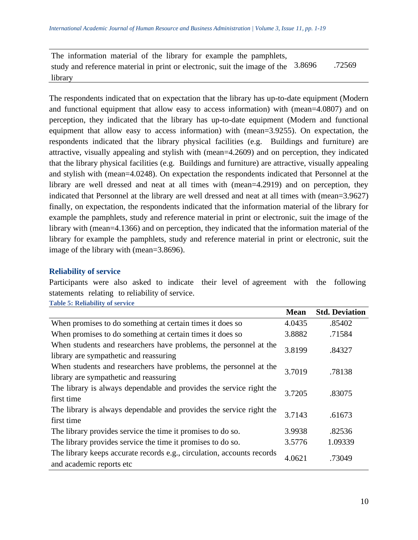| The information material of the library for example the pamphlets,                  |        |
|-------------------------------------------------------------------------------------|--------|
| study and reference material in print or electronic, suit the image of the $3.8696$ | .72569 |
| library                                                                             |        |

The respondents indicated that on expectation that the library has up-to-date equipment (Modern and functional equipment that allow easy to access information) with (mean=4.0807) and on perception, they indicated that the library has up-to-date equipment (Modern and functional equipment that allow easy to access information) with (mean=3.9255). On expectation, the respondents indicated that the library physical facilities (e.g. Buildings and furniture) are attractive, visually appealing and stylish with (mean=4.2609) and on perception, they indicated that the library physical facilities (e.g. Buildings and furniture) are attractive, visually appealing and stylish with (mean=4.0248). On expectation the respondents indicated that Personnel at the library are well dressed and neat at all times with (mean=4.2919) and on perception, they indicated that Personnel at the library are well dressed and neat at all times with (mean=3.9627) finally, on expectation, the respondents indicated that the information material of the library for example the pamphlets, study and reference material in print or electronic, suit the image of the library with (mean=4.1366) and on perception, they indicated that the information material of the library for example the pamphlets, study and reference material in print or electronic, suit the image of the library with (mean=3.8696).

#### **Reliability of service**

**Table 5: Reliability of service**

Participants were also asked to indicate their level of agreement with the following statements relating to reliability of service.

|                                                                                                             | <b>Mean</b> | <b>Std. Deviation</b> |
|-------------------------------------------------------------------------------------------------------------|-------------|-----------------------|
| When promises to do something at certain times it does so                                                   | 4.0435      | .85402                |
| When promises to do something at certain times it does so                                                   | 3.8882      | .71584                |
| When students and researchers have problems, the personnel at the<br>library are sympathetic and reassuring | 3.8199      | .84327                |
| When students and researchers have problems, the personnel at the<br>library are sympathetic and reassuring | 3.7019      | .78138                |
| The library is always dependable and provides the service right the<br>first time                           | 3.7205      | .83075                |
| The library is always dependable and provides the service right the<br>first time                           | 3.7143      | .61673                |
| The library provides service the time it promises to do so.                                                 | 3.9938      | .82536                |
| The library provides service the time it promises to do so.                                                 | 3.5776      | 1.09339               |
| The library keeps accurate records e.g., circulation, accounts records<br>and academic reports etc          | 4.0621      | .73049                |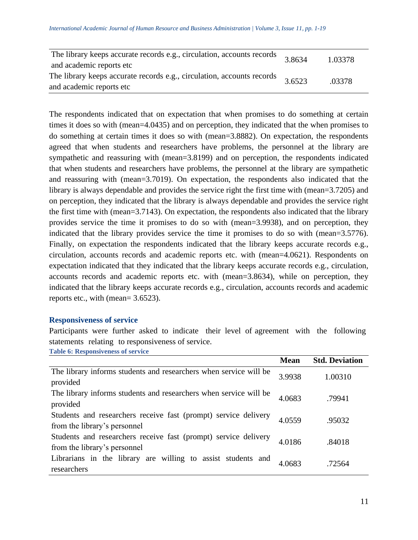| The library keeps accurate records e.g., circulation, accounts records<br>and academic reports etc. | 3.8634 | 1.03378 |
|-----------------------------------------------------------------------------------------------------|--------|---------|
| The library keeps accurate records e.g., circulation, accounts records<br>and academic reports etc. | 3.6523 | .03378  |

The respondents indicated that on expectation that when promises to do something at certain times it does so with (mean=4.0435) and on perception, they indicated that the when promises to do something at certain times it does so with (mean=3.8882). On expectation, the respondents agreed that when students and researchers have problems, the personnel at the library are sympathetic and reassuring with (mean=3.8199) and on perception, the respondents indicated that when students and researchers have problems, the personnel at the library are sympathetic and reassuring with (mean=3.7019). On expectation, the respondents also indicated that the library is always dependable and provides the service right the first time with (mean=3.7205) and on perception, they indicated that the library is always dependable and provides the service right the first time with (mean=3.7143). On expectation, the respondents also indicated that the library provides service the time it promises to do so with (mean=3.9938), and on perception, they indicated that the library provides service the time it promises to do so with (mean=3.5776). Finally, on expectation the respondents indicated that the library keeps accurate records e.g., circulation, accounts records and academic reports etc. with (mean=4.0621). Respondents on expectation indicated that they indicated that the library keeps accurate records e.g., circulation, accounts records and academic reports etc. with (mean=3.8634), while on perception, they indicated that the library keeps accurate records e.g., circulation, accounts records and academic reports etc., with (mean= 3.6523).

## **Responsiveness of service**

Participants were further asked to indicate their level of agreement with the following statements relating to responsiveness of service.

**Table 6: Responsiveness of service**

|                                                                                                 | <b>Mean</b> | <b>Std. Deviation</b> |
|-------------------------------------------------------------------------------------------------|-------------|-----------------------|
| The library informs students and researchers when service will be<br>provided                   | 3.9938      | 1.00310               |
| The library informs students and researchers when service will be<br>provided                   | 4.0683      | .79941                |
| Students and researchers receive fast (prompt) service delivery<br>from the library's personnel | 4.0559      | .95032                |
| Students and researchers receive fast (prompt) service delivery<br>from the library's personnel | 4.0186      | .84018                |
| Librarians in the library are willing to assist students and<br>researchers                     | 4.0683      | .72564                |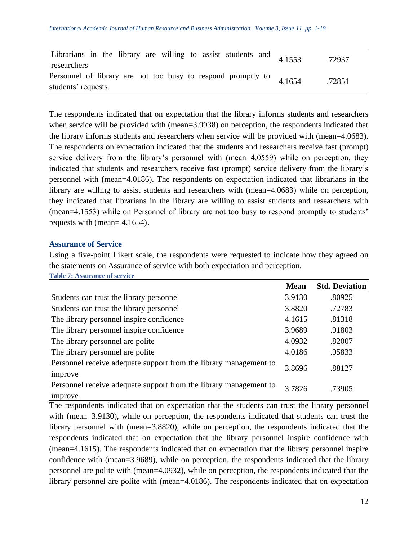| Librarians in the library are willing to assist students and $4.1553$ | .72937 |
|-----------------------------------------------------------------------|--------|
| researchers                                                           |        |
| Personnel of library are not too busy to respond promptly to $4.1654$ | .72851 |
| students' requests.                                                   |        |

The respondents indicated that on expectation that the library informs students and researchers when service will be provided with (mean=3.9938) on perception, the respondents indicated that the library informs students and researchers when service will be provided with (mean=4.0683). The respondents on expectation indicated that the students and researchers receive fast (prompt) service delivery from the library's personnel with (mean=4.0559) while on perception, they indicated that students and researchers receive fast (prompt) service delivery from the library's personnel with (mean=4.0186). The respondents on expectation indicated that librarians in the library are willing to assist students and researchers with (mean=4.0683) while on perception, they indicated that librarians in the library are willing to assist students and researchers with (mean=4.1553) while on Personnel of library are not too busy to respond promptly to students' requests with (mean= 4.1654).

## **Assurance of Service**

Using a five-point Likert scale, the respondents were requested to indicate how they agreed on the statements on Assurance of service with both expectation and perception. **Table 7: Assurance of service** 

|                                                                              | <b>Mean</b> | <b>Std. Deviation</b> |
|------------------------------------------------------------------------------|-------------|-----------------------|
| Students can trust the library personnel                                     | 3.9130      | .80925                |
| Students can trust the library personnel                                     | 3.8820      | .72783                |
| The library personnel inspire confidence                                     | 4.1615      | .81318                |
| The library personnel inspire confidence                                     | 3.9689      | .91803                |
| The library personnel are polite                                             | 4.0932      | .82007                |
| The library personnel are polite                                             | 4.0186      | .95833                |
| Personnel receive adequate support from the library management to<br>improve | 3.8696      | .88127                |
| Personnel receive adequate support from the library management to<br>improve | 3.7826      | .73905                |

The respondents indicated that on expectation that the students can trust the library personnel with (mean=3.9130), while on perception, the respondents indicated that students can trust the library personnel with (mean=3.8820), while on perception, the respondents indicated that the respondents indicated that on expectation that the library personnel inspire confidence with (mean=4.1615). The respondents indicated that on expectation that the library personnel inspire confidence with (mean=3.9689), while on perception, the respondents indicated that the library personnel are polite with (mean=4.0932), while on perception, the respondents indicated that the library personnel are polite with (mean=4.0186). The respondents indicated that on expectation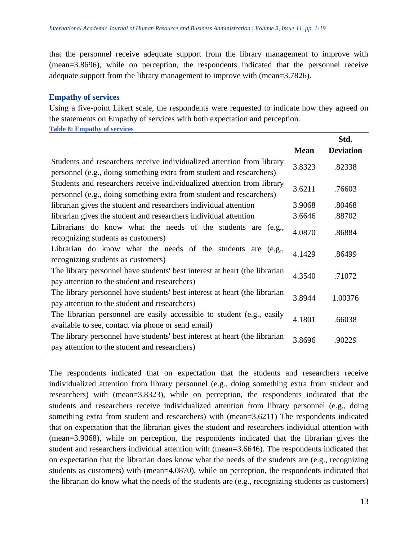that the personnel receive adequate support from the library management to improve with (mean=3.8696), while on perception, the respondents indicated that the personnel receive adequate support from the library management to improve with (mean=3.7826).

### **Empathy of services**

Using a five-point Likert scale, the respondents were requested to indicate how they agreed on the statements on Empathy of services with both expectation and perception.

**Table 8: Empathy of services** 

|                                                                                                                                                |             | Std.             |
|------------------------------------------------------------------------------------------------------------------------------------------------|-------------|------------------|
|                                                                                                                                                | <b>Mean</b> | <b>Deviation</b> |
| Students and researchers receive individualized attention from library<br>personnel (e.g., doing something extra from student and researchers) | 3.8323      | .82338           |
| Students and researchers receive individualized attention from library<br>personnel (e.g., doing something extra from student and researchers) | 3.6211      | .76603           |
| librarian gives the student and researchers individual attention                                                                               | 3.9068      | .80468           |
| librarian gives the student and researchers individual attention                                                                               | 3.6646      | .88702           |
| Librarians do know what the needs of the students are<br>(e.g.,<br>recognizing students as customers)                                          | 4.0870      | .86884           |
| Librarian do know what the needs of the students are (e.g.,<br>recognizing students as customers)                                              | 4.1429      | .86499           |
| The library personnel have students' best interest at heart (the librarian<br>pay attention to the student and researchers)                    | 4.3540      | .71072           |
| The library personnel have students' best interest at heart (the librarian<br>pay attention to the student and researchers)                    | 3.8944      | 1.00376          |
| The librarian personnel are easily accessible to student (e.g., easily<br>available to see, contact via phone or send email)                   | 4.1801      | .66038           |
| The library personnel have students' best interest at heart (the librarian<br>pay attention to the student and researchers)                    | 3.8696      | .90229           |

The respondents indicated that on expectation that the students and researchers receive individualized attention from library personnel (e.g., doing something extra from student and researchers) with (mean=3.8323), while on perception, the respondents indicated that the students and researchers receive individualized attention from library personnel (e.g., doing something extra from student and researchers) with (mean=3.6211) The respondents indicated that on expectation that the librarian gives the student and researchers individual attention with (mean=3.9068), while on perception, the respondents indicated that the librarian gives the student and researchers individual attention with (mean=3.6646). The respondents indicated that on expectation that the librarian does know what the needs of the students are (e.g., recognizing students as customers) with (mean=4.0870), while on perception, the respondents indicated that the librarian do know what the needs of the students are (e.g., recognizing students as customers)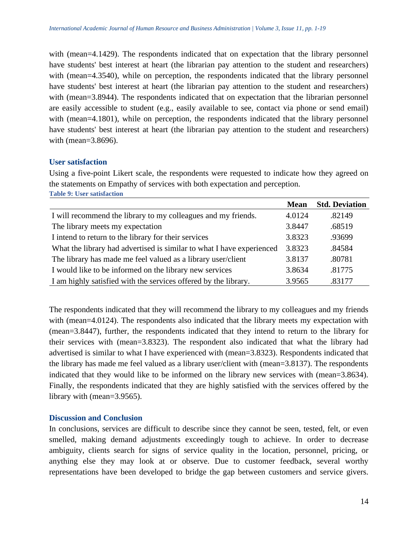with (mean=4.1429). The respondents indicated that on expectation that the library personnel have students' best interest at heart (the librarian pay attention to the student and researchers) with (mean=4.3540), while on perception, the respondents indicated that the library personnel have students' best interest at heart (the librarian pay attention to the student and researchers) with (mean=3.8944). The respondents indicated that on expectation that the librarian personnel are easily accessible to student (e.g., easily available to see, contact via phone or send email) with (mean=4.1801), while on perception, the respondents indicated that the library personnel have students' best interest at heart (the librarian pay attention to the student and researchers) with (mean=3.8696).

## **User satisfaction**

Using a five-point Likert scale, the respondents were requested to indicate how they agreed on the statements on Empathy of services with both expectation and perception. **Table 9: User satisfaction**

|                                                                       | <b>Mean</b> | <b>Std. Deviation</b> |
|-----------------------------------------------------------------------|-------------|-----------------------|
| I will recommend the library to my colleagues and my friends.         | 4.0124      | .82149                |
| The library meets my expectation                                      | 3.8447      | .68519                |
| I intend to return to the library for their services                  | 3.8323      | .93699                |
| What the library had advertised is similar to what I have experienced | 3.8323      | .84584                |
| The library has made me feel valued as a library user/client          | 3.8137      | .80781                |
| I would like to be informed on the library new services               | 3.8634      | .81775                |
| I am highly satisfied with the services offered by the library.       | 3.9565      | .83177                |

The respondents indicated that they will recommend the library to my colleagues and my friends with (mean=4.0124). The respondents also indicated that the library meets my expectation with (mean=3.8447), further, the respondents indicated that they intend to return to the library for their services with (mean=3.8323). The respondent also indicated that what the library had advertised is similar to what I have experienced with (mean=3.8323). Respondents indicated that the library has made me feel valued as a library user/client with (mean=3.8137). The respondents indicated that they would like to be informed on the library new services with (mean=3.8634). Finally, the respondents indicated that they are highly satisfied with the services offered by the library with (mean=3.9565).

## **Discussion and Conclusion**

In conclusions, services are difficult to describe since they cannot be seen, tested, felt, or even smelled, making demand adjustments exceedingly tough to achieve. In order to decrease ambiguity, clients search for signs of service quality in the location, personnel, pricing, or anything else they may look at or observe. Due to customer feedback, several worthy representations have been developed to bridge the gap between customers and service givers.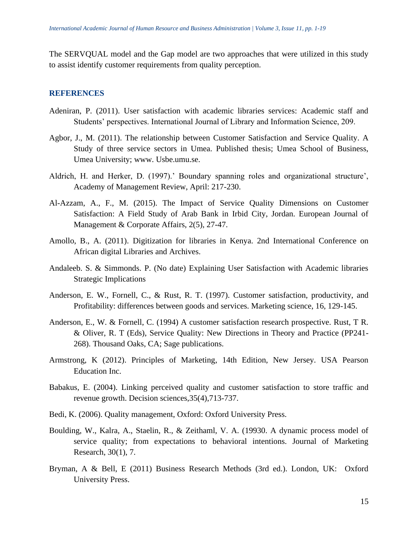The SERVQUAL model and the Gap model are two approaches that were utilized in this study to assist identify customer requirements from quality perception.

#### **REFERENCES**

- Adeniran, P. (2011). User satisfaction with academic libraries services: Academic staff and Students' perspectives. International Journal of Library and Information Science, 209.
- Agbor, J., M. (2011). The relationship between Customer Satisfaction and Service Quality. A Study of three service sectors in Umea. Published thesis; Umea School of Business, Umea University; www. Usbe.umu.se.
- Aldrich, H. and Herker, D. (1997).' Boundary spanning roles and organizational structure', Academy of Management Review, April: 217-230.
- Al-Azzam, A., F., M. (2015). The Impact of Service Quality Dimensions on Customer Satisfaction: A Field Study of Arab Bank in Irbid City, Jordan. European Journal of Management & Corporate Affairs, 2(5), 27-47.
- Amollo, B., A. (2011). Digitization for libraries in Kenya. 2nd International Conference on African digital Libraries and Archives.
- Andaleeb. S. & Simmonds. P. (No date) Explaining User Satisfaction with Academic libraries Strategic Implications
- Anderson, E. W., Fornell, C., & Rust, R. T. (1997). Customer satisfaction, productivity, and Profitability: differences between goods and services. Marketing science, 16, 129-145.
- Anderson, E., W. & Fornell, C. (1994) A customer satisfaction research prospective. Rust, T R. & Oliver, R. T (Eds), Service Quality: New Directions in Theory and Practice (PP241- 268). Thousand Oaks, CA; Sage publications.
- Armstrong, K (2012). Principles of Marketing, 14th Edition, New Jersey. USA Pearson Education Inc.
- Babakus, E. (2004). Linking perceived quality and customer satisfaction to store traffic and revenue growth. Decision sciences,35(4),713-737.
- Bedi, K. (2006). Quality management, Oxford: Oxford University Press.
- Boulding, W., Kalra, A., Staelin, R., & Zeithaml, V. A. (19930. A dynamic process model of service quality; from expectations to behavioral intentions. Journal of Marketing Research, 30(1), 7.
- Bryman, A & Bell, E (2011) Business Research Methods (3rd ed.). London, UK: Oxford University Press.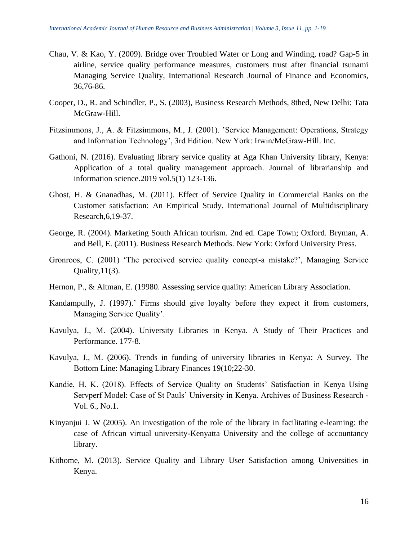- Chau, V. & Kao, Y. (2009). Bridge over Troubled Water or Long and Winding, road? Gap-5 in airline, service quality performance measures, customers trust after financial tsunami Managing Service Quality, International Research Journal of Finance and Economics, 36,76-86.
- Cooper, D., R. and Schindler, P., S. (2003), Business Research Methods, 8thed, New Delhi: Tata McGraw-Hill.
- Fitzsimmons, J., A. & Fitzsimmons, M., J. (2001). 'Service Management: Operations, Strategy and Information Technology', 3rd Edition. New York: Irwin/McGraw-Hill. Inc.
- Gathoni, N. (2016). Evaluating library service quality at Aga Khan University library, Kenya: Application of a total quality management approach. Journal of librarianship and information science.2019 vol.5(1) 123-136.
- Ghost, H. & Gnanadhas, M. (2011). Effect of Service Quality in Commercial Banks on the Customer satisfaction: An Empirical Study. International Journal of Multidisciplinary Research,6,19-37.
- George, R. (2004). Marketing South African tourism. 2nd ed. Cape Town; Oxford. Bryman, A. and Bell, E. (2011). Business Research Methods. New York: Oxford University Press.
- Gronroos, C. (2001) 'The perceived service quality concept-a mistake?', Managing Service Quality,  $11(3)$ .
- Hernon, P., & Altman, E. (19980. Assessing service quality: American Library Association.
- Kandampully, J. (1997).' Firms should give loyalty before they expect it from customers, Managing Service Quality'.
- Kavulya, J., M. (2004). University Libraries in Kenya. A Study of Their Practices and Performance. 177-8.
- Kavulya, J., M. (2006). Trends in funding of university libraries in Kenya: A Survey. The Bottom Line: Managing Library Finances 19(10;22-30.
- Kandie, H. K. (2018). Effects of Service Quality on Students' Satisfaction in Kenya Using Servperf Model: Case of St Pauls' University in Kenya. Archives of Business Research - Vol. 6., No.1.
- Kinyanjui J. W (2005). An investigation of the role of the library in facilitating e-learning: the case of African virtual university-Kenyatta University and the college of accountancy library.
- Kithome, M. (2013). Service Quality and Library User Satisfaction among Universities in Kenya.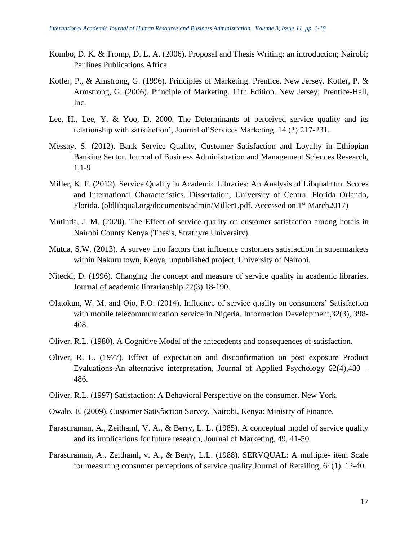- Kombo, D. K. & Tromp, D. L. A. (2006). Proposal and Thesis Writing: an introduction; Nairobi; Paulines Publications Africa.
- Kotler, P., & Amstrong, G. (1996). Principles of Marketing. Prentice. New Jersey. Kotler, P. & Armstrong, G. (2006). Principle of Marketing. 11th Edition. New Jersey; Prentice-Hall, Inc.
- Lee, H., Lee, Y. & Yoo, D. 2000. The Determinants of perceived service quality and its relationship with satisfaction', Journal of Services Marketing. 14 (3):217-231.
- Messay, S. (2012). Bank Service Quality, Customer Satisfaction and Loyalty in Ethiopian Banking Sector. Journal of Business Administration and Management Sciences Research, 1,1-9
- Miller, K. F. (2012). Service Quality in Academic Libraries: An Analysis of Libqual+tm. Scores and International Characteristics. Dissertation, University of Central Florida Orlando, Florida. (oldlibqual.org/documents/admin/Miller1.pdf. Accessed on 1<sup>st</sup> March2017)
- Mutinda, J. M. (2020). The Effect of service quality on customer satisfaction among hotels in Nairobi County Kenya (Thesis, Strathyre University).
- Mutua, S.W. (2013). A survey into factors that influence customers satisfaction in supermarkets within Nakuru town, Kenya, unpublished project, University of Nairobi.
- Nitecki, D. (1996). Changing the concept and measure of service quality in academic libraries. Journal of academic librarianship 22(3) 18-190.
- Olatokun, W. M. and Ojo, F.O. (2014). Influence of service quality on consumers' Satisfaction with mobile telecommunication service in Nigeria. Information Development, 32(3), 398-408.
- Oliver, R.L. (1980). A Cognitive Model of the antecedents and consequences of satisfaction.
- Oliver, R. L. (1977). Effect of expectation and disconfirmation on post exposure Product Evaluations-An alternative interpretation, Journal of Applied Psychology 62(4),480 – 486.
- Oliver, R.L. (1997) Satisfaction: A Behavioral Perspective on the consumer. New York.
- Owalo, E. (2009). Customer Satisfaction Survey, Nairobi, Kenya: Ministry of Finance.
- Parasuraman, A., Zeithaml, V. A., & Berry, L. L. (1985). A conceptual model of service quality and its implications for future research, Journal of Marketing, 49, 41-50.
- Parasuraman, A., Zeithaml, v. A., & Berry, L.L. (1988). SERVQUAL: A multiple- item Scale for measuring consumer perceptions of service quality,Journal of Retailing, 64(1), 12-40.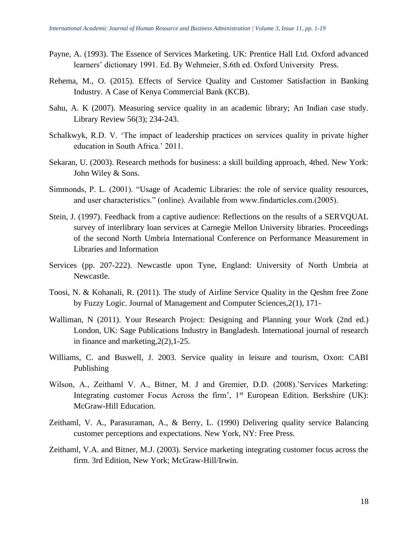- Payne, A. (1993). The Essence of Services Marketing. UK: Prentice Hall Ltd. Oxford advanced learners' dictionary 1991. Ed. By Wehmeier, S.6th ed. Oxford University Press.
- Rehema, M., O. (2015). Effects of Service Quality and Customer Satisfaction in Banking Industry. A Case of Kenya Commercial Bank (KCB).
- Sahu, A. K (2007). Measuring service quality in an academic library; An Indian case study. Library Review 56(3); 234-243.
- Schalkwyk, R.D. V. 'The impact of leadership practices on services quality in private higher education in South Africa.' 2011.
- Sekaran, U. (2003). Research methods for business: a skill building approach, 4thed. New York: John Wiley & Sons.
- Simmonds, P. L. (2001). "Usage of Academic Libraries: the role of service quality resources, and user characteristics." (online). Available from www.findarticles.com.(2005).
- Stein, J. (1997). Feedback from a captive audience: Reflections on the results of a SERVQUAL survey of interlibrary loan services at Carnegie Mellon University libraries. Proceedings of the second North Umbria International Conference on Performance Measurement in Libraries and Information
- Services (pp. 207-222). Newcastle upon Tyne, England: University of North Umbria at Newcastle.
- Toosi, N. & Kohanali, R. (2011). The study of Airline Service Quality in the Qeshm free Zone by Fuzzy Logic. Journal of Management and Computer Sciences,2(1), 171-
- Walliman, N (2011). Your Research Project: Designing and Planning your Work (2nd ed.) London, UK: Sage Publications Industry in Bangladesh. International journal of research in finance and marketing,2(2),1-25.
- Williams, C. and Buswell, J. 2003. Service quality in leisure and tourism, Oxon: CABI Publishing
- Wilson, A., Zeithaml V. A., Bitner, M. J and Gremier, D.D. (2008).'Services Marketing: Integrating customer Focus Across the firm',  $1<sup>st</sup>$  European Edition. Berkshire (UK): McGraw-Hill Education.
- Zeithaml, V. A., Parasuraman, A., & Berry, L. (1990) Delivering quality service Balancing customer perceptions and expectations. New York, NY: Free Press.
- Zeithaml, V.A. and Bitner, M.J. (2003). Service marketing integrating customer focus across the firm. 3rd Edition, New York; McGraw-Hill/Irwin.